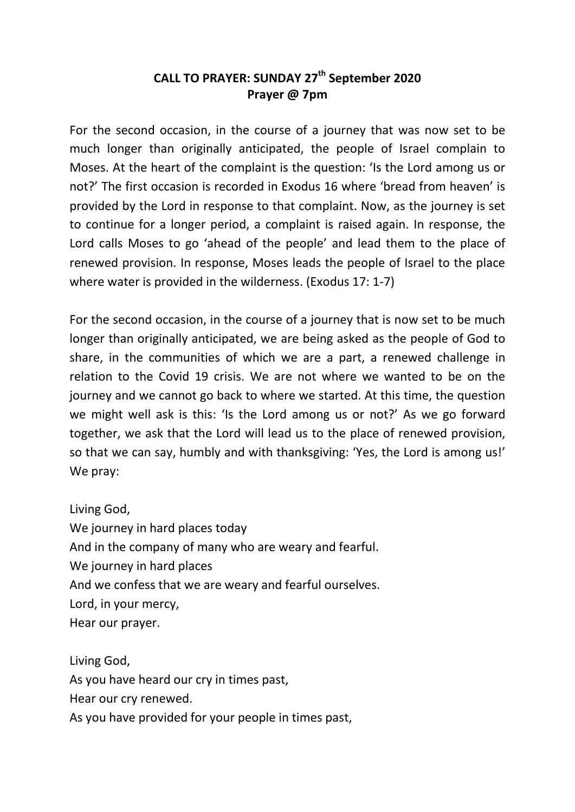## **CALL TO PRAYER: SUNDAY 27th September 2020 Prayer @ 7pm**

For the second occasion, in the course of a journey that was now set to be much longer than originally anticipated, the people of Israel complain to Moses. At the heart of the complaint is the question: 'Is the Lord among us or not?' The first occasion is recorded in Exodus 16 where 'bread from heaven' is provided by the Lord in response to that complaint. Now, as the journey is set to continue for a longer period, a complaint is raised again. In response, the Lord calls Moses to go 'ahead of the people' and lead them to the place of renewed provision. In response, Moses leads the people of Israel to the place where water is provided in the wilderness. (Exodus 17: 1-7)

For the second occasion, in the course of a journey that is now set to be much longer than originally anticipated, we are being asked as the people of God to share, in the communities of which we are a part, a renewed challenge in relation to the Covid 19 crisis. We are not where we wanted to be on the journey and we cannot go back to where we started. At this time, the question we might well ask is this: 'Is the Lord among us or not?' As we go forward together, we ask that the Lord will lead us to the place of renewed provision, so that we can say, humbly and with thanksgiving: 'Yes, the Lord is among us!' We pray:

Living God, We journey in hard places today And in the company of many who are weary and fearful. We journey in hard places And we confess that we are weary and fearful ourselves. Lord, in your mercy, Hear our prayer.

Living God, As you have heard our cry in times past, Hear our cry renewed. As you have provided for your people in times past,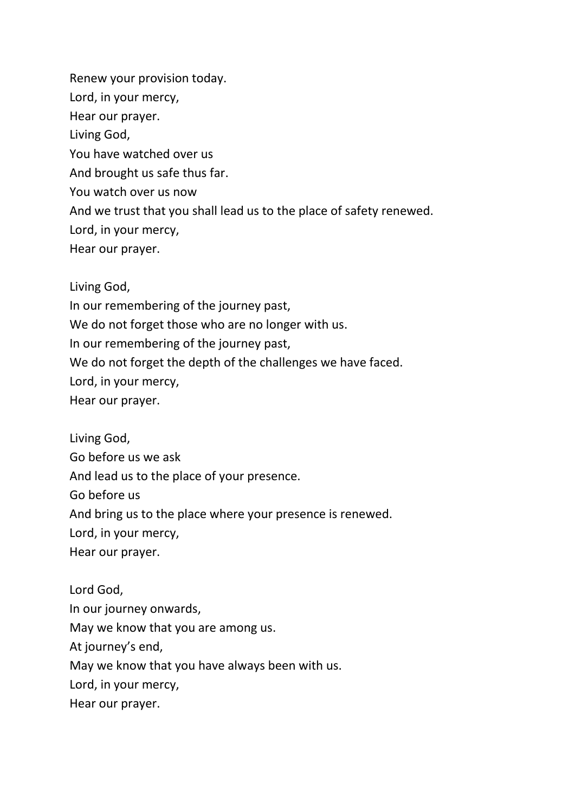Renew your provision today. Lord, in your mercy, Hear our prayer. Living God, You have watched over us And brought us safe thus far. You watch over us now And we trust that you shall lead us to the place of safety renewed. Lord, in your mercy, Hear our prayer.

Living God,

In our remembering of the journey past, We do not forget those who are no longer with us. In our remembering of the journey past, We do not forget the depth of the challenges we have faced. Lord, in your mercy,

Hear our prayer.

Living God, Go before us we ask And lead us to the place of your presence. Go before us And bring us to the place where your presence is renewed. Lord, in your mercy, Hear our prayer.

Lord God, In our journey onwards, May we know that you are among us. At journey's end, May we know that you have always been with us. Lord, in your mercy, Hear our prayer.